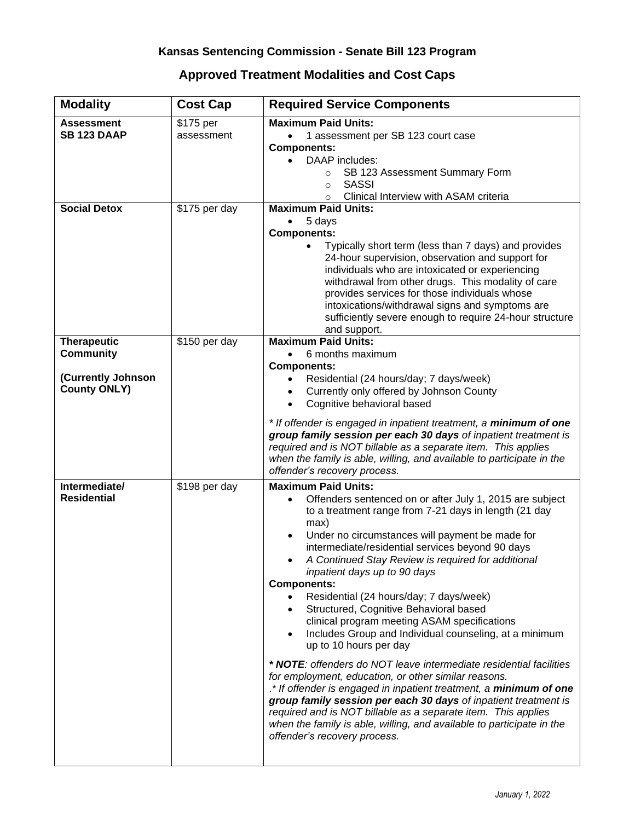## **Approved Treatment Modalities and Cost Caps**

| <b>Modality</b>                                                                     | <b>Cost Cap</b>           | <b>Required Service Components</b>                                                                                                                                                                                                                                                                                                                                                                                                                                                                                                                                                                                                                                                                                                                                                                                                                                                                                                                                                                                                                                                                       |
|-------------------------------------------------------------------------------------|---------------------------|----------------------------------------------------------------------------------------------------------------------------------------------------------------------------------------------------------------------------------------------------------------------------------------------------------------------------------------------------------------------------------------------------------------------------------------------------------------------------------------------------------------------------------------------------------------------------------------------------------------------------------------------------------------------------------------------------------------------------------------------------------------------------------------------------------------------------------------------------------------------------------------------------------------------------------------------------------------------------------------------------------------------------------------------------------------------------------------------------------|
| <b>Assessment</b><br><b>SB 123 DAAP</b>                                             | \$175 per<br>assessment   | <b>Maximum Paid Units:</b><br>1 assessment per SB 123 court case<br>$\bullet$<br><b>Components:</b><br>DAAP includes:<br>SB 123 Assessment Summary Form<br>$\circ$<br><b>SASSI</b><br>$\Omega$                                                                                                                                                                                                                                                                                                                                                                                                                                                                                                                                                                                                                                                                                                                                                                                                                                                                                                           |
| <b>Social Detox</b>                                                                 | \$175 per day             | Clinical Interview with ASAM criteria<br>$\circ$<br><b>Maximum Paid Units:</b><br>5 days<br><b>Components:</b><br>Typically short term (less than 7 days) and provides<br>24-hour supervision, observation and support for<br>individuals who are intoxicated or experiencing<br>withdrawal from other drugs. This modality of care<br>provides services for those individuals whose<br>intoxications/withdrawal signs and symptoms are<br>sufficiently severe enough to require 24-hour structure<br>and support.                                                                                                                                                                                                                                                                                                                                                                                                                                                                                                                                                                                       |
| <b>Therapeutic</b><br><b>Community</b><br>(Currently Johnson<br><b>County ONLY)</b> | \$150 per day             | <b>Maximum Paid Units:</b><br>6 months maximum<br>$\bullet$<br><b>Components:</b><br>Residential (24 hours/day; 7 days/week)<br>$\bullet$<br>Currently only offered by Johnson County<br>$\bullet$<br>Cognitive behavioral based<br>$\bullet$<br>* If offender is engaged in inpatient treatment, a minimum of one<br>group family session per each 30 days of inpatient treatment is<br>required and is NOT billable as a separate item. This applies<br>when the family is able, willing, and available to participate in the<br>offender's recovery process.                                                                                                                                                                                                                                                                                                                                                                                                                                                                                                                                          |
| Intermediate/<br><b>Residential</b>                                                 | $\overline{$}198$ per day | <b>Maximum Paid Units:</b><br>Offenders sentenced on or after July 1, 2015 are subject<br>to a treatment range from 7-21 days in length (21 day<br>max)<br>Under no circumstances will payment be made for<br>$\bullet$<br>intermediate/residential services beyond 90 days<br>A Continued Stay Review is required for additional<br>inpatient days up to 90 days<br><b>Components:</b><br>Residential (24 hours/day; 7 days/week)<br>$\bullet$<br>Structured, Cognitive Behavioral based<br>$\bullet$<br>clinical program meeting ASAM specifications<br>Includes Group and Individual counseling, at a minimum<br>$\bullet$<br>up to 10 hours per day<br>* NOTE: offenders do NOT leave intermediate residential facilities<br>for employment, education, or other similar reasons.<br>.* If offender is engaged in inpatient treatment, a minimum of one<br>group family session per each 30 days of inpatient treatment is<br>required and is NOT billable as a separate item. This applies<br>when the family is able, willing, and available to participate in the<br>offender's recovery process. |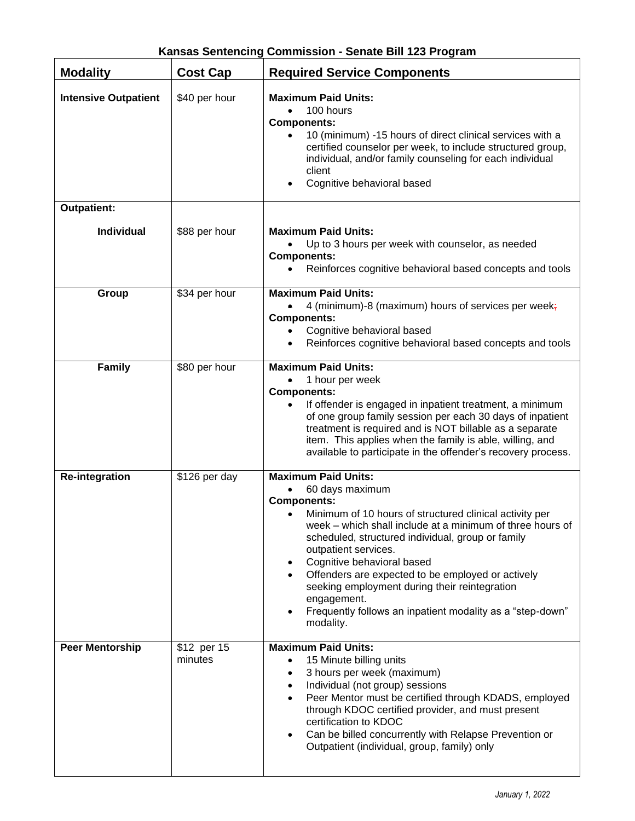| Kansas Sentencing Commission - Senate Bill 123 Program |
|--------------------------------------------------------|
|--------------------------------------------------------|

| <b>Modality</b>             | <b>Cost Cap</b>        | <b>Required Service Components</b>                                                                                                                                                                                                                                                                                                                                                                                                                                                                                                                        |
|-----------------------------|------------------------|-----------------------------------------------------------------------------------------------------------------------------------------------------------------------------------------------------------------------------------------------------------------------------------------------------------------------------------------------------------------------------------------------------------------------------------------------------------------------------------------------------------------------------------------------------------|
| <b>Intensive Outpatient</b> | \$40 per hour          | <b>Maximum Paid Units:</b><br>100 hours<br>$\bullet$<br><b>Components:</b><br>10 (minimum) -15 hours of direct clinical services with a<br>$\bullet$<br>certified counselor per week, to include structured group,<br>individual, and/or family counseling for each individual<br>client<br>Cognitive behavioral based<br>$\bullet$                                                                                                                                                                                                                       |
| <b>Outpatient:</b>          |                        |                                                                                                                                                                                                                                                                                                                                                                                                                                                                                                                                                           |
| <b>Individual</b>           | \$88 per hour          | <b>Maximum Paid Units:</b><br>Up to 3 hours per week with counselor, as needed<br><b>Components:</b><br>Reinforces cognitive behavioral based concepts and tools                                                                                                                                                                                                                                                                                                                                                                                          |
| Group                       | \$34 per hour          | <b>Maximum Paid Units:</b><br>4 (minimum)-8 (maximum) hours of services per week;<br><b>Components:</b><br>Cognitive behavioral based<br>Reinforces cognitive behavioral based concepts and tools                                                                                                                                                                                                                                                                                                                                                         |
| Family                      | \$80 per hour          | <b>Maximum Paid Units:</b><br>1 hour per week<br><b>Components:</b><br>If offender is engaged in inpatient treatment, a minimum<br>of one group family session per each 30 days of inpatient<br>treatment is required and is NOT billable as a separate<br>item. This applies when the family is able, willing, and<br>available to participate in the offender's recovery process.                                                                                                                                                                       |
| <b>Re-integration</b>       | \$126 per day          | <b>Maximum Paid Units:</b><br>60 days maximum<br><b>Components:</b><br>Minimum of 10 hours of structured clinical activity per<br>$\bullet$<br>week – which shall include at a minimum of three hours of<br>scheduled, structured individual, group or family<br>outpatient services.<br>Cognitive behavioral based<br>$\bullet$<br>Offenders are expected to be employed or actively<br>$\bullet$<br>seeking employment during their reintegration<br>engagement.<br>Frequently follows an inpatient modality as a "step-down"<br>$\bullet$<br>modality. |
| <b>Peer Mentorship</b>      | \$12 per 15<br>minutes | <b>Maximum Paid Units:</b><br>15 Minute billing units<br>$\bullet$<br>3 hours per week (maximum)<br>$\bullet$<br>Individual (not group) sessions<br>$\bullet$<br>Peer Mentor must be certified through KDADS, employed<br>$\bullet$<br>through KDOC certified provider, and must present<br>certification to KDOC<br>Can be billed concurrently with Relapse Prevention or<br>Outpatient (individual, group, family) only                                                                                                                                 |